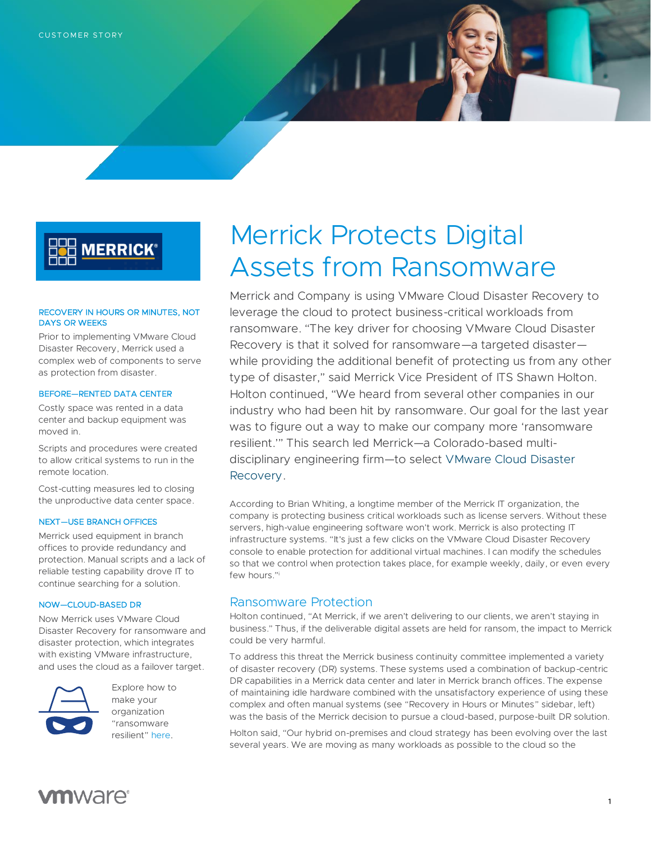# **MERRICK®**

### RECOVERY IN HOURS OR MINUTES, NOT DAYS OR WEEKS

Prior to implementing VMware Cloud Disaster Recovery, Merrick used a complex web of components to serve as protection from disaster.

### BEFORE—RENTED DATA CENTER

Costly space was rented in a data center and backup equipment was moved in.

Scripts and procedures were created to allow critical systems to run in the remote location.

Cost-cutting measures led to closing the unproductive data center space.

### NEXT—USE BRANCH OFFICES

Merrick used equipment in branch offices to provide redundancy and protection. Manual scripts and a lack of reliable testing capability drove IT to continue searching for a solution.

### NOW—CLOUD-BASED DR

Now Merrick uses VMware Cloud Disaster Recovery for ransomware and disaster protection, which integrates with existing VMware infrastructure, and uses the cloud as a failover target.



Explore how to make your organization "ransomware resilient" [here.](https://www.vmware.com/products/cloud-disaster-recovery.html)

# Merrick Protects Digital Assets from Ransomware

Merrick and Company is using VMware Cloud Disaster Recovery to leverage the cloud to protect business-critical workloads from ransomware. "The key driver for choosing VMware Cloud Disaster Recovery is that it solved for ransomware—a targeted disaster while providing the additional benefit of protecting us from any other type of disaster," said Merrick Vice President of ITS Shawn Holton. Holton continued, "We heard from several other companies in our industry who had been hit by ransomware. Our goal for the last year was to figure out a way to make our company more 'ransomware resilient.'" This search led Merrick—a Colorado-based multidisciplinary engineering firm—to select [VMware Cloud Disaster](https://www.vmware.com/products/cloud-disaster-recovery.html)  [Recovery.](https://www.vmware.com/products/cloud-disaster-recovery.html)

According to Brian Whiting, a longtime member of the Merrick IT organization, the company is protecting business critical workloads such as license servers. Without these servers, high-value engineering software won't work. Merrick is also protecting IT infrastructure systems. "It's just a few clicks on the VMware Cloud Disaster Recovery console to enable protection for additional virtual machines. I can modify the schedules so that we control when protection takes place, for example weekly, daily, or even every few hours."<sup>i</sup>

## Ransomware Protection

Holton continued, "At Merrick, if we aren't delivering to our clients, we aren't staying in business." Thus, if the deliverable digital assets are held for ransom, the impact to Merrick could be very harmful.

To address this threat the Merrick business continuity committee implemented a variety of disaster recovery (DR) systems. These systems used a combination of backup-centric DR capabilities in a Merrick data center and later in Merrick branch offices. The expense of maintaining idle hardware combined with the unsatisfactory experience of using these complex and often manual systems (see "Recovery in Hours or Minutes" sidebar, left) was the basis of the Merrick decision to pursue a cloud-based, purpose-built DR solution.

Holton said, "Our hybrid on-premises and cloud strategy has been evolving over the last several years. We are moving as many workloads as possible to the cloud so the

# **vm**ware<sup>®</sup>